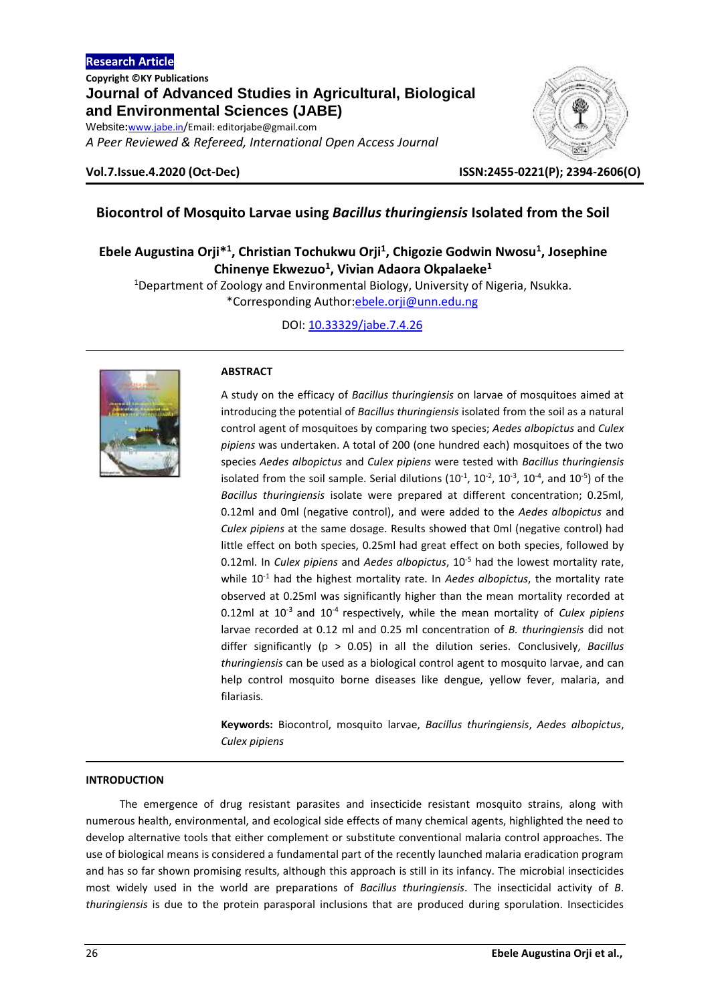*A Peer Reviewed & Refereed, International Open Access Journal*



**Vol.7.Issue.4.2020 (Oct-Dec) ISSN:2455-0221(P); 2394-2606(O)**

# **Biocontrol of Mosquito Larvae using** *Bacillus thuringiensis* **Isolated from the Soil**

# **Ebele Augustina Orji\* 1 , Christian Tochukwu Orji<sup>1</sup> , Chigozie Godwin Nwosu<sup>1</sup> , Josephine Chinenye Ekwezuo<sup>1</sup> , Vivian Adaora Okpalaeke<sup>1</sup>**

<sup>1</sup>Department of Zoology and Environmental Biology, University of Nigeria, Nsukka. \*Corresponding Author[:ebele.orji@unn.edu.ng](mailto:ebele.orji@unn.edu.ng)

DOI[: 10.33329/jabe.7.4.26](http://www.jabe.in/)



# **ABSTRACT**

A study on the efficacy of *Bacillus thuringiensis* on larvae of mosquitoes aimed at introducing the potential of *Bacillus thuringiensis* isolated from the soil as a natural control agent of mosquitoes by comparing two species; *Aedes albopictus* and *Culex pipiens* was undertaken. A total of 200 (one hundred each) mosquitoes of the two species *Aedes albopictus* and *Culex pipiens* were tested with *Bacillus thuringiensis* isolated from the soil sample. Serial dilutions  $(10^{-1}, 10^{-2}, 10^{-3}, 10^{-4},$  and  $10^{-5})$  of the *Bacillus thuringiensis* isolate were prepared at different concentration; 0.25ml, 0.12ml and 0ml (negative control), and were added to the *Aedes albopictus* and *Culex pipiens* at the same dosage. Results showed that 0ml (negative control) had little effect on both species, 0.25ml had great effect on both species, followed by 0.12ml. In *Culex pipiens* and *Aedes albopictus*, 10-5 had the lowest mortality rate, while 10-1 had the highest mortality rate. In *Aedes albopictus*, the mortality rate observed at 0.25ml was significantly higher than the mean mortality recorded at 0.12ml at 10<sup>-3</sup> and 10<sup>-4</sup> respectively, while the mean mortality of *Culex pipiens* larvae recorded at 0.12 ml and 0.25 ml concentration of *B. thuringiensis* did not differ significantly (p > 0.05) in all the dilution series. Conclusively, *Bacillus thuringiensis* can be used as a biological control agent to mosquito larvae, and can help control mosquito borne diseases like dengue, yellow fever, malaria, and filariasis.

**Keywords:** Biocontrol, mosquito larvae, *Bacillus thuringiensis*, *Aedes albopictus*, *Culex pipiens*

# **INTRODUCTION**

The emergence of drug resistant parasites and insecticide resistant mosquito strains, along with numerous health, environmental, and ecological side effects of many chemical agents, highlighted the need to develop alternative tools that either complement or substitute conventional malaria control approaches. The use of biological means is considered a fundamental part of the recently launched malaria eradication program and has so far shown promising results, although this approach is still in its infancy. The microbial insecticides most widely used in the world are preparations of *Bacillus thuringiensis*. The insecticidal activity of *B*. *thuringiensis* is due to the protein parasporal inclusions that are produced during sporulation. Insecticides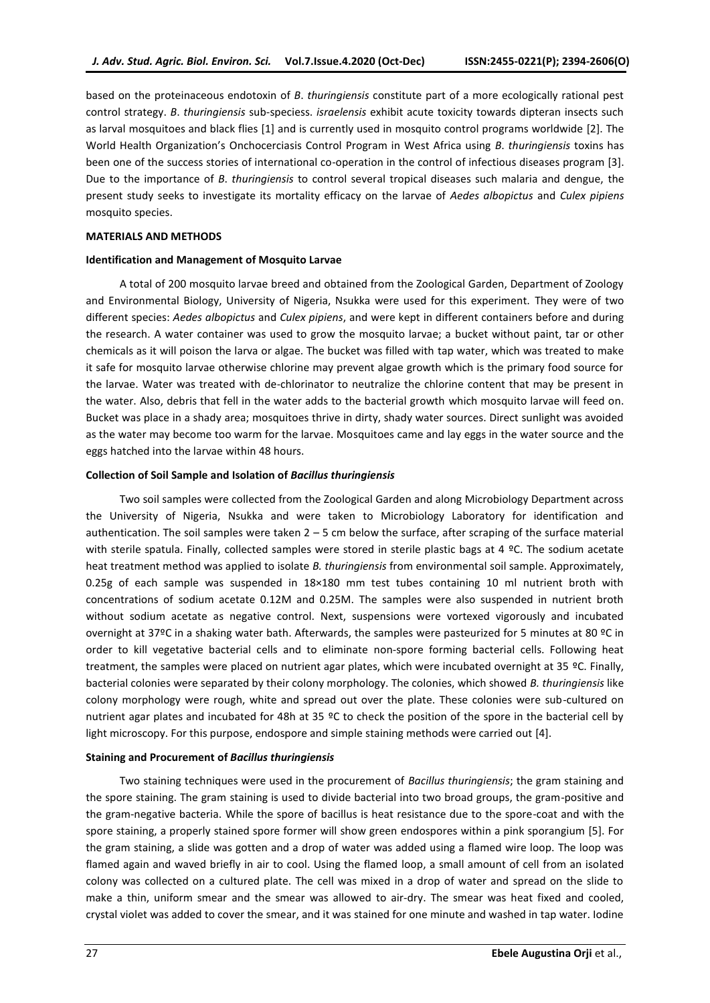based on the proteinaceous endotoxin of *B*. *thuringiensis* constitute part of a more ecologically rational pest control strategy. *B*. *thuringiensis* sub-speciess. *israelensis* exhibit acute toxicity towards dipteran insects such as larval mosquitoes and black flies [1] and is currently used in mosquito control programs worldwide [2]. The World Health Organization's Onchocerciasis Control Program in West Africa using *B*. *thuringiensis* toxins has been one of the success stories of international co-operation in the control of infectious diseases program [3]. Due to the importance of *B*. *thuringiensis* to control several tropical diseases such malaria and dengue, the present study seeks to investigate its mortality efficacy on the larvae of *Aedes albopictus* and *Culex pipiens* mosquito species.

#### **MATERIALS AND METHODS**

#### **Identification and Management of Mosquito Larvae**

A total of 200 mosquito larvae breed and obtained from the Zoological Garden, Department of Zoology and Environmental Biology, University of Nigeria, Nsukka were used for this experiment. They were of two different species: *Aedes albopictus* and *Culex pipiens*, and were kept in different containers before and during the research. A water container was used to grow the mosquito larvae; a bucket without paint, tar or other chemicals as it will poison the larva or algae. The bucket was filled with tap water, which was treated to make it safe for mosquito larvae otherwise chlorine may prevent algae growth which is the primary food source for the larvae. Water was treated with de-chlorinator to neutralize the chlorine content that may be present in the water. Also, debris that fell in the water adds to the bacterial growth which mosquito larvae will feed on. Bucket was place in a shady area; mosquitoes thrive in dirty, shady water sources. Direct sunlight was avoided as the water may become too warm for the larvae. Mosquitoes came and lay eggs in the water source and the eggs hatched into the larvae within 48 hours.

### **Collection of Soil Sample and Isolation of** *Bacillus thuringiensis*

Two soil samples were collected from the Zoological Garden and along Microbiology Department across the University of Nigeria, Nsukka and were taken to Microbiology Laboratory for identification and authentication. The soil samples were taken  $2 - 5$  cm below the surface, after scraping of the surface material with sterile spatula. Finally, collected samples were stored in sterile plastic bags at 4 °C. The sodium acetate heat treatment method was applied to isolate *B. thuringiensis* from environmental soil sample. Approximately, 0.25g of each sample was suspended in 18×180 mm test tubes containing 10 ml nutrient broth with concentrations of sodium acetate 0.12M and 0.25M. The samples were also suspended in nutrient broth without sodium acetate as negative control. Next, suspensions were vortexed vigorously and incubated overnight at 37ºC in a shaking water bath. Afterwards, the samples were pasteurized for 5 minutes at 80 ºC in order to kill vegetative bacterial cells and to eliminate non-spore forming bacterial cells. Following heat treatment, the samples were placed on nutrient agar plates, which were incubated overnight at 35 ºC. Finally, bacterial colonies were separated by their colony morphology. The colonies, which showed *B. thuringiensis* like colony morphology were rough, white and spread out over the plate. These colonies were sub-cultured on nutrient agar plates and incubated for 48h at 35 ºC to check the position of the spore in the bacterial cell by light microscopy. For this purpose, endospore and simple staining methods were carried out [4].

### **Staining and Procurement of** *Bacillus thuringiensis*

Two staining techniques were used in the procurement of *Bacillus thuringiensis*; the gram staining and the spore staining. The gram staining is used to divide bacterial into two broad groups, the gram-positive and the gram-negative bacteria. While the spore of bacillus is heat resistance due to the spore-coat and with the spore staining, a properly stained spore former will show green endospores within a pink sporangium [5]. For the gram staining, a slide was gotten and a drop of water was added using a flamed wire loop. The loop was flamed again and waved briefly in air to cool. Using the flamed loop, a small amount of cell from an isolated colony was collected on a cultured plate. The cell was mixed in a drop of water and spread on the slide to make a thin, uniform smear and the smear was allowed to air-dry. The smear was heat fixed and cooled, crystal violet was added to cover the smear, and it was stained for one minute and washed in tap water. Iodine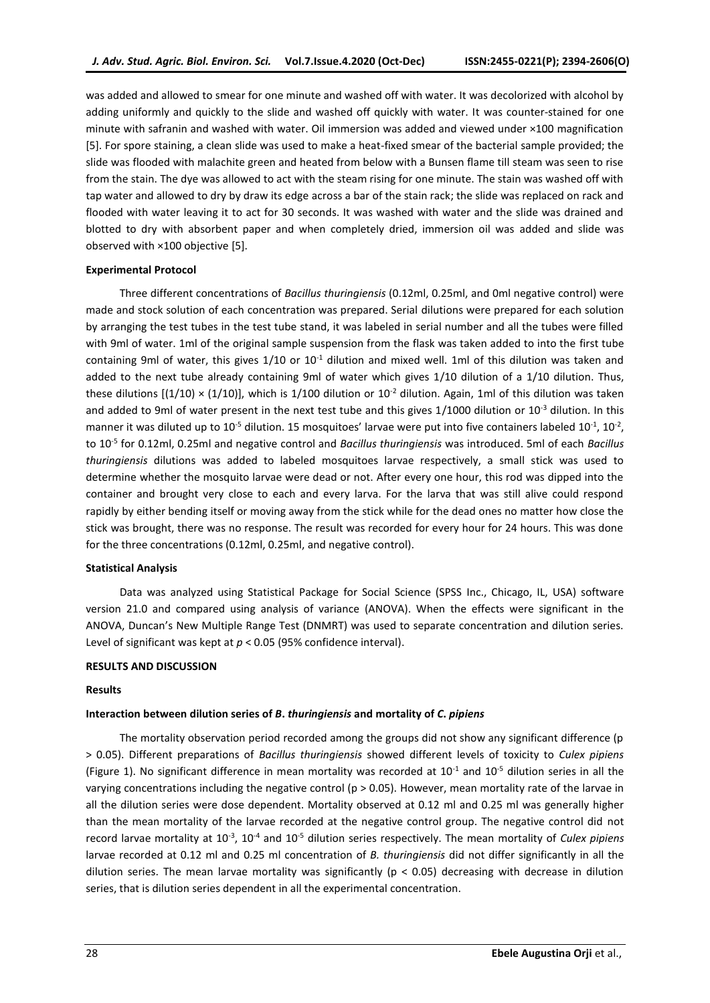was added and allowed to smear for one minute and washed off with water. It was decolorized with alcohol by adding uniformly and quickly to the slide and washed off quickly with water. It was counter-stained for one minute with safranin and washed with water. Oil immersion was added and viewed under ×100 magnification [5]. For spore staining, a clean slide was used to make a heat-fixed smear of the bacterial sample provided; the slide was flooded with malachite green and heated from below with a Bunsen flame till steam was seen to rise from the stain. The dye was allowed to act with the steam rising for one minute. The stain was washed off with tap water and allowed to dry by draw its edge across a bar of the stain rack; the slide was replaced on rack and flooded with water leaving it to act for 30 seconds. It was washed with water and the slide was drained and blotted to dry with absorbent paper and when completely dried, immersion oil was added and slide was observed with ×100 objective [5].

#### **Experimental Protocol**

Three different concentrations of *Bacillus thuringiensis* (0.12ml, 0.25ml, and 0ml negative control) were made and stock solution of each concentration was prepared. Serial dilutions were prepared for each solution by arranging the test tubes in the test tube stand, it was labeled in serial number and all the tubes were filled with 9ml of water. 1ml of the original sample suspension from the flask was taken added to into the first tube containing 9ml of water, this gives  $1/10$  or  $10^{-1}$  dilution and mixed well. 1ml of this dilution was taken and added to the next tube already containing 9ml of water which gives 1/10 dilution of a 1/10 dilution. Thus, these dilutions  $[(1/10) \times (1/10)]$ , which is 1/100 dilution or  $10^{-2}$  dilution. Again, 1ml of this dilution was taken and added to 9ml of water present in the next test tube and this gives  $1/1000$  dilution or  $10^{-3}$  dilution. In this manner it was diluted up to 10<sup>-5</sup> dilution. 15 mosquitoes' larvae were put into five containers labeled 10<sup>-1</sup>, 10<sup>-2</sup>, to 10-5 for 0.12ml, 0.25ml and negative control and *Bacillus thuringiensis* was introduced. 5ml of each *Bacillus thuringiensis* dilutions was added to labeled mosquitoes larvae respectively, a small stick was used to determine whether the mosquito larvae were dead or not. After every one hour, this rod was dipped into the container and brought very close to each and every larva. For the larva that was still alive could respond rapidly by either bending itself or moving away from the stick while for the dead ones no matter how close the stick was brought, there was no response. The result was recorded for every hour for 24 hours. This was done for the three concentrations (0.12ml, 0.25ml, and negative control).

### **Statistical Analysis**

Data was analyzed using Statistical Package for Social Science (SPSS Inc., Chicago, IL, USA) software version 21.0 and compared using analysis of variance (ANOVA). When the effects were significant in the ANOVA, Duncan's New Multiple Range Test (DNMRT) was used to separate concentration and dilution series. Level of significant was kept at *p* < 0.05 (95% confidence interval).

### **RESULTS AND DISCUSSION**

#### **Results**

#### **Interaction between dilution series of** *B***.** *thuringiensis* **and mortality of** *C***.** *pipiens*

The mortality observation period recorded among the groups did not show any significant difference (p > 0.05). Different preparations of *Bacillus thuringiensis* showed different levels of toxicity to *Culex pipiens*  (Figure 1). No significant difference in mean mortality was recorded at  $10^{-1}$  and  $10^{-5}$  dilution series in all the varying concentrations including the negative control (p > 0.05). However, mean mortality rate of the larvae in all the dilution series were dose dependent. Mortality observed at 0.12 ml and 0.25 ml was generally higher than the mean mortality of the larvae recorded at the negative control group. The negative control did not record larvae mortality at 10<sup>-3</sup>, 10<sup>-4</sup> and 10<sup>-5</sup> dilution series respectively. The mean mortality of *Culex pipiens* larvae recorded at 0.12 ml and 0.25 ml concentration of *B. thuringiensis* did not differ significantly in all the dilution series. The mean larvae mortality was significantly ( $p < 0.05$ ) decreasing with decrease in dilution series, that is dilution series dependent in all the experimental concentration.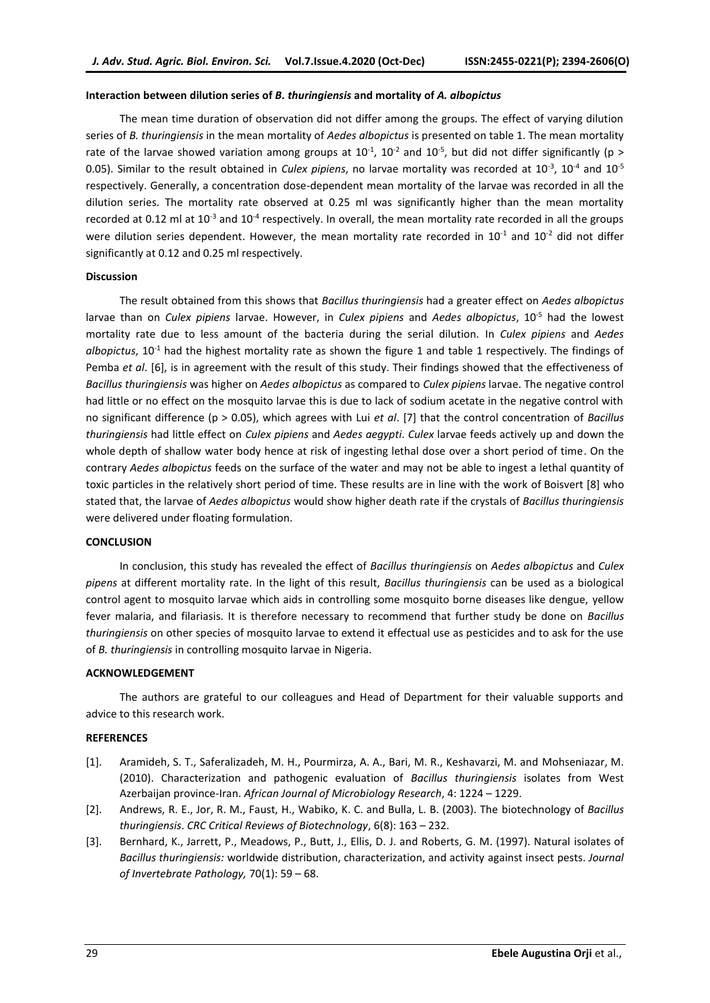#### **Interaction between dilution series of** *B. thuringiensis* **and mortality of** *A. albopictus*

The mean time duration of observation did not differ among the groups. The effect of varying dilution series of *B. thuringiensis* in the mean mortality of *Aedes albopictus* is presented on table 1. The mean mortality rate of the larvae showed variation among groups at  $10^{-1}$ ,  $10^{-2}$  and  $10^{-5}$ , but did not differ significantly (p > 0.05). Similar to the result obtained in *Culex pipiens*, no larvae mortality was recorded at 10<sup>-3</sup>, 10<sup>-4</sup> and 10<sup>-5</sup> respectively. Generally, a concentration dose-dependent mean mortality of the larvae was recorded in all the dilution series. The mortality rate observed at 0.25 ml was significantly higher than the mean mortality recorded at 0.12 ml at 10<sup>-3</sup> and 10<sup>-4</sup> respectively. In overall, the mean mortality rate recorded in all the groups were dilution series dependent. However, the mean mortality rate recorded in  $10^{-1}$  and  $10^{-2}$  did not differ significantly at 0.12 and 0.25 ml respectively.

#### **Discussion**

The result obtained from this shows that *Bacillus thuringiensis* had a greater effect on *Aedes albopictus* larvae than on *Culex pipiens* larvae. However, in *Culex pipiens* and *Aedes albopictus*, 10-5 had the lowest mortality rate due to less amount of the bacteria during the serial dilution. In *Culex pipiens* and *Aedes albopictus*, 10-1 had the highest mortality rate as shown the figure 1 and table 1 respectively. The findings of Pemba *et al*. [6], is in agreement with the result of this study. Their findings showed that the effectiveness of *Bacillus thuringiensis* was higher on *Aedes albopictus* as compared to *Culex pipiens* larvae. The negative control had little or no effect on the mosquito larvae this is due to lack of sodium acetate in the negative control with no significant difference (p > 0.05), which agrees with Lui *et al*. [7] that the control concentration of *Bacillus thuringiensis* had little effect on *Culex pipiens* and *Aedes aegypti*. *Culex* larvae feeds actively up and down the whole depth of shallow water body hence at risk of ingesting lethal dose over a short period of time. On the contrary *Aedes albopictus* feeds on the surface of the water and may not be able to ingest a lethal quantity of toxic particles in the relatively short period of time. These results are in line with the work of Boisvert [8] who stated that, the larvae of *Aedes albopictus* would show higher death rate if the crystals of *Bacillus thuringiensis* were delivered under floating formulation.

## **CONCLUSION**

In conclusion, this study has revealed the effect of *Bacillus thuringiensis* on *Aedes albopictus* and *Culex pipens* at different mortality rate. In the light of this result, *Bacillus thuringiensis* can be used as a biological control agent to mosquito larvae which aids in controlling some mosquito borne diseases like dengue, yellow fever malaria, and filariasis. It is therefore necessary to recommend that further study be done on *Bacillus thuringiensis* on other species of mosquito larvae to extend it effectual use as pesticides and to ask for the use of *B. thuringiensis* in controlling mosquito larvae in Nigeria.

## **ACKNOWLEDGEMENT**

The authors are grateful to our colleagues and Head of Department for their valuable supports and advice to this research work.

#### **REFERENCES**

- [1]. Aramideh, S. T., Saferalizadeh, M. H., Pourmirza, A. A., Bari, M. R., Keshavarzi, M. and Mohseniazar, M. (2010). Characterization and pathogenic evaluation of *Bacillus thuringiensis* isolates from West Azerbaijan province-Iran. *African Journal of Microbiology Research*, 4: 1224 – 1229.
- [2]. Andrews, R. E., Jor, R. M., Faust, H., Wabiko, K. C. and Bulla, L. B. (2003). The biotechnology of *Bacillus thuringiensis*. *CRC Critical Reviews of Biotechnology*, 6(8): 163 – 232.
- [3]. Bernhard, K., Jarrett, P., Meadows, P., Butt, J., Ellis, D. J. and Roberts, G. M. (1997). Natural isolates of *Bacillus thuringiensis:* worldwide distribution, characterization, and activity against insect pests. *Journal of Invertebrate Pathology,* 70(1): 59 – 68.